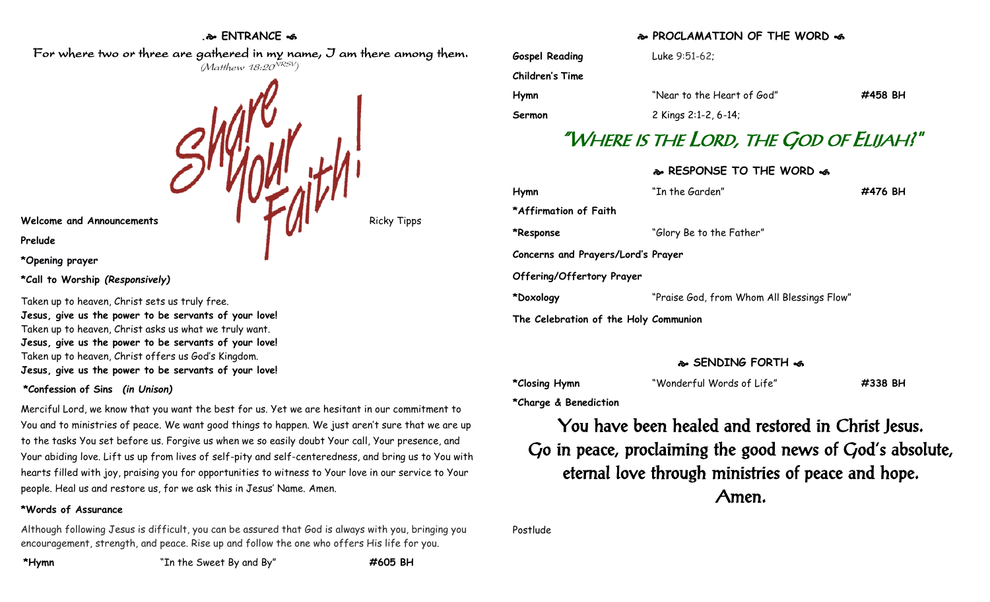## **. ENTRANCE**

 For where two or three are gathered in my name, I am there among them. (Matthew 18:20<sup>NRSV</sup>)



**Prelude**

**\*Opening prayer**

**\*Call to Worship** *(Responsively)*

Taken up to heaven, Christ sets us truly free. **Jesus, give us the power to be servants of your love!** Taken up to heaven, Christ asks us what we truly want. **Jesus, give us the power to be servants of your love!** Taken up to heaven, Christ offers us God's Kingdom. **Jesus, give us the power to be servants of your love!**

## **\*Confession of Sins** *(in Unison)*

Merciful Lord, we know that you want the best for us. Yet we are hesitant in our commitment to You and to ministries of peace. We want good things to happen. We just aren't sure that we are up to the tasks You set before us. Forgive us when we so easily doubt Your call, Your presence, and Your abiding love. Lift us up from lives of self-pity and self-centeredness, and bring us to You with hearts filled with joy, praising you for opportunities to witness to Your love in our service to Your people. Heal us and restore us, for we ask this in Jesus' Name. Amen.

## **\*Words of Assurance**

Although following Jesus is difficult, you can be assured that God is always with you, bringing you encouragement, strength, and peace. Rise up and follow the one who offers His life for you.

**\*Hymn** "In the Sweet By and By" **#605 BH**

## **PROCLAMATION OF THE WORD**

| <b>Gospel Reading</b> | Luke $9:51-62$ :           |         |
|-----------------------|----------------------------|---------|
| Children's Time       |                            |         |
| Hymn                  | "Near to the Heart of God" | #458 BH |
| Sermon                | 2 Kings 2:1-2, 6-14;       |         |

# "WHERE IS THE LORD, THE GOD OF ELIJAH?"

## **RESPONSE TO THE WORD**

| Hymn                                  | "In the Garden"                            | #476 BH |  |  |
|---------------------------------------|--------------------------------------------|---------|--|--|
| *Affirmation of Faith                 |                                            |         |  |  |
| *Response                             | "Glory Be to the Father"                   |         |  |  |
| Concerns and Prayers/Lord's Prayer    |                                            |         |  |  |
| Offering/Offertory Prayer             |                                            |         |  |  |
| *Doxology                             | "Praise God, from Whom All Blessings Flow" |         |  |  |
| The Celebration of the Holy Communion |                                            |         |  |  |

## **SENDING FORTH**

| *Closing Hymn | "Wonderful Words of Life" | #338 BH |
|---------------|---------------------------|---------|
|               |                           |         |

**\*Charge & Benediction**

You have been healed and restored in Christ Jesus. Go in peace, proclaiming the good news of God's absolute, eternal love through ministries of peace and hope. Amen.

Postlude